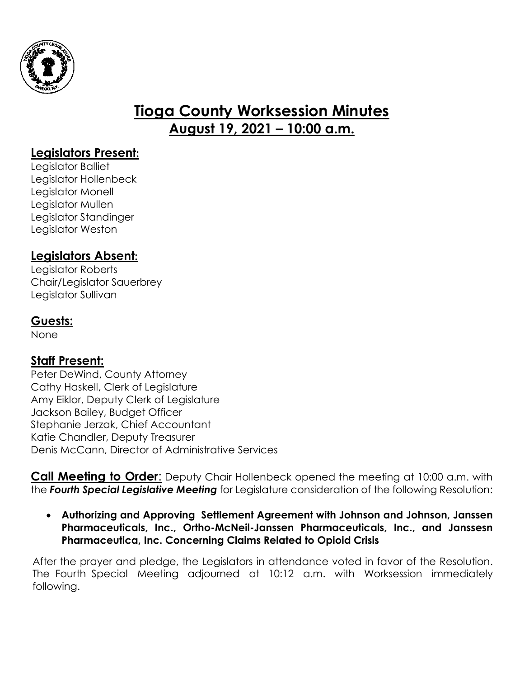

# **Tioga County Worksession Minutes August 19, 2021 – 10:00 a.m.**

### **Legislators Present:**

Legislator Balliet Legislator Hollenbeck Legislator Monell Legislator Mullen Legislator Standinger Legislator Weston

# **Legislators Absent:**

Legislator Roberts Chair/Legislator Sauerbrey Legislator Sullivan

## **Guests:**

None

## **Staff Present:**

Peter DeWind, County Attorney Cathy Haskell, Clerk of Legislature Amy Eiklor, Deputy Clerk of Legislature Jackson Bailey, Budget Officer Stephanie Jerzak, Chief Accountant Katie Chandler, Deputy Treasurer Denis McCann, Director of Administrative Services

**Call Meeting to Order**: Deputy Chair Hollenbeck opened the meeting at 10:00 a.m. with the *Fourth Special Legislative Meeting* for Legislature consideration of the following Resolution:

 **Authorizing and Approving Settlement Agreement with Johnson and Johnson, Janssen Pharmaceuticals, Inc., Ortho-McNeil-Janssen Pharmaceuticals, Inc., and Janssesn Pharmaceutica, Inc. Concerning Claims Related to Opioid Crisis**

After the prayer and pledge, the Legislators in attendance voted in favor of the Resolution. The Fourth Special Meeting adjourned at 10:12 a.m. with Worksession immediately following.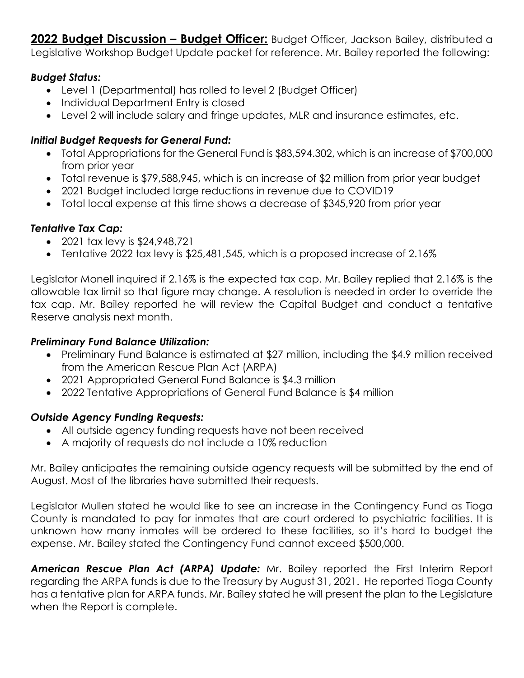2022 Budget Discussion - Budget Officer: Budget Officer, Jackson Bailey, distributed a Legislative Workshop Budget Update packet for reference. Mr. Bailey reported the following:

#### *Budget Status:*

- Level 1 (Departmental) has rolled to level 2 (Budget Officer)
- Individual Department Entry is closed
- Level 2 will include salary and fringe updates, MLR and insurance estimates, etc.

### *Initial Budget Requests for General Fund:*

- Total Appropriations for the General Fund is \$83,594.302, which is an increase of \$700,000 from prior year
- Total revenue is \$79,588,945, which is an increase of \$2 million from prior year budget
- 2021 Budget included large reductions in revenue due to COVID19
- Total local expense at this time shows a decrease of \$345,920 from prior year

### *Tentative Tax Cap:*

- 2021 tax levy is \$24,948,721
- Tentative 2022 tax levy is \$25,481,545, which is a proposed increase of 2.16%

Legislator Monell inquired if 2.16% is the expected tax cap. Mr. Bailey replied that 2.16% is the allowable tax limit so that figure may change. A resolution is needed in order to override the tax cap. Mr. Bailey reported he will review the Capital Budget and conduct a tentative Reserve analysis next month.

#### *Preliminary Fund Balance Utilization:*

- Preliminary Fund Balance is estimated at \$27 million, including the \$4.9 million received from the American Rescue Plan Act (ARPA)
- 2021 Appropriated General Fund Balance is \$4.3 million
- 2022 Tentative Appropriations of General Fund Balance is \$4 million

#### *Outside Agency Funding Requests:*

- All outside agency funding requests have not been received
- A majority of requests do not include a 10% reduction

Mr. Bailey anticipates the remaining outside agency requests will be submitted by the end of August. Most of the libraries have submitted their requests.

Legislator Mullen stated he would like to see an increase in the Contingency Fund as Tioga County is mandated to pay for inmates that are court ordered to psychiatric facilities. It is unknown how many inmates will be ordered to these facilities, so it's hard to budget the expense. Mr. Bailey stated the Contingency Fund cannot exceed \$500,000.

*American Rescue Plan Act (ARPA) Update:* Mr. Bailey reported the First Interim Report regarding the ARPA funds is due to the Treasury by August 31, 2021. He reported Tioga County has a tentative plan for ARPA funds. Mr. Bailey stated he will present the plan to the Legislature when the Report is complete.